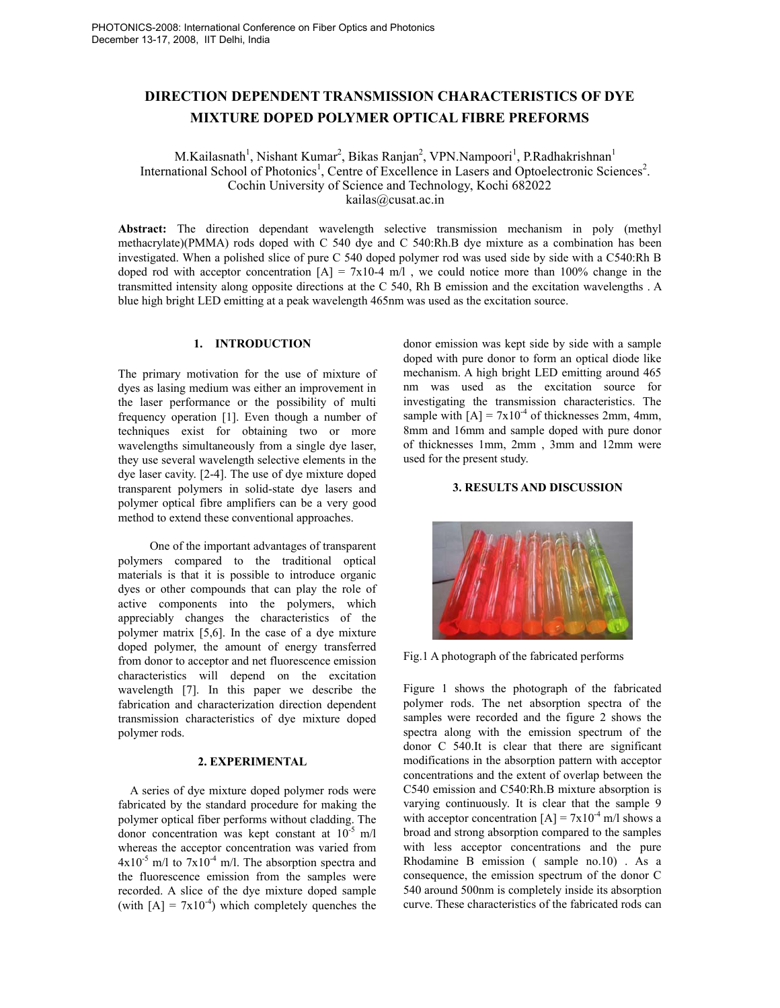# **DIRECTION DEPENDENT TRANSMISSION CHARACTERISTICS OF DYE MIXTURE DOPED POLYMER OPTICAL FIBRE PREFORMS**

M.Kailasnath<sup>1</sup>, Nishant Kumar<sup>2</sup>, Bikas Ranjan<sup>2</sup>, VPN.Nampoori<sup>1</sup>, P.Radhakrishnan<sup>1</sup> International School of Photonics<sup>1</sup>, Centre of Excellence in Lasers and Optoelectronic Sciences<sup>2</sup>. Cochin University of Science and Technology, Kochi 682022 kailas@cusat.ac.in

**Abstract:** The direction dependant wavelength selective transmission mechanism in poly (methyl methacrylate)(PMMA) rods doped with C 540 dye and C 540:Rh.B dye mixture as a combination has been investigated. When a polished slice of pure C 540 doped polymer rod was used side by side with a C540:Rh B doped rod with acceptor concentration  $[A] = 7x10-4$  m/l, we could notice more than 100% change in the transmitted intensity along opposite directions at the C 540, Rh B emission and the excitation wavelengths . A blue high bright LED emitting at a peak wavelength 465nm was used as the excitation source.

# **1. INTRODUCTION**

The primary motivation for the use of mixture of dyes as lasing medium was either an improvement in the laser performance or the possibility of multi frequency operation [1]. Even though a number of techniques exist for obtaining two or more wavelengths simultaneously from a single dye laser, they use several wavelength selective elements in the dye laser cavity. [2-4]. The use of dye mixture doped transparent polymers in solid-state dye lasers and polymer optical fibre amplifiers can be a very good method to extend these conventional approaches.

 One of the important advantages of transparent polymers compared to the traditional optical materials is that it is possible to introduce organic dyes or other compounds that can play the role of active components into the polymers, which appreciably changes the characteristics of the polymer matrix [5,6]. In the case of a dye mixture doped polymer, the amount of energy transferred from donor to acceptor and net fluorescence emission characteristics will depend on the excitation wavelength [7]. In this paper we describe the fabrication and characterization direction dependent transmission characteristics of dye mixture doped polymer rods.

#### **2. EXPERIMENTAL**

A series of dye mixture doped polymer rods were fabricated by the standard procedure for making the polymer optical fiber performs without cladding. The donor concentration was kept constant at  $10^{-5}$  m/l whereas the acceptor concentration was varied from  $4x10^{-5}$  m/l to  $7x10^{-4}$  m/l. The absorption spectra and the fluorescence emission from the samples were recorded. A slice of the dye mixture doped sample (with  $[A] = 7x10^{-4}$ ) which completely quenches the

donor emission was kept side by side with a sample doped with pure donor to form an optical diode like mechanism. A high bright LED emitting around 465 nm was used as the excitation source for investigating the transmission characteristics. The sample with  $[A] = 7x10^{-4}$  of thicknesses 2mm, 4mm, 8mm and 16mm and sample doped with pure donor of thicknesses 1mm, 2mm , 3mm and 12mm were used for the present study.

## **3. RESULTS AND DISCUSSION**



Fig.1 A photograph of the fabricated performs

Figure 1 shows the photograph of the fabricated polymer rods. The net absorption spectra of the samples were recorded and the figure 2 shows the spectra along with the emission spectrum of the donor C 540.It is clear that there are significant modifications in the absorption pattern with acceptor concentrations and the extent of overlap between the C540 emission and C540:Rh.B mixture absorption is varying continuously. It is clear that the sample 9 with acceptor concentration  $[A] = 7x10^{-4}$  m/l shows a broad and strong absorption compared to the samples with less acceptor concentrations and the pure Rhodamine B emission ( sample no.10) . As a consequence, the emission spectrum of the donor C 540 around 500nm is completely inside its absorption curve. These characteristics of the fabricated rods can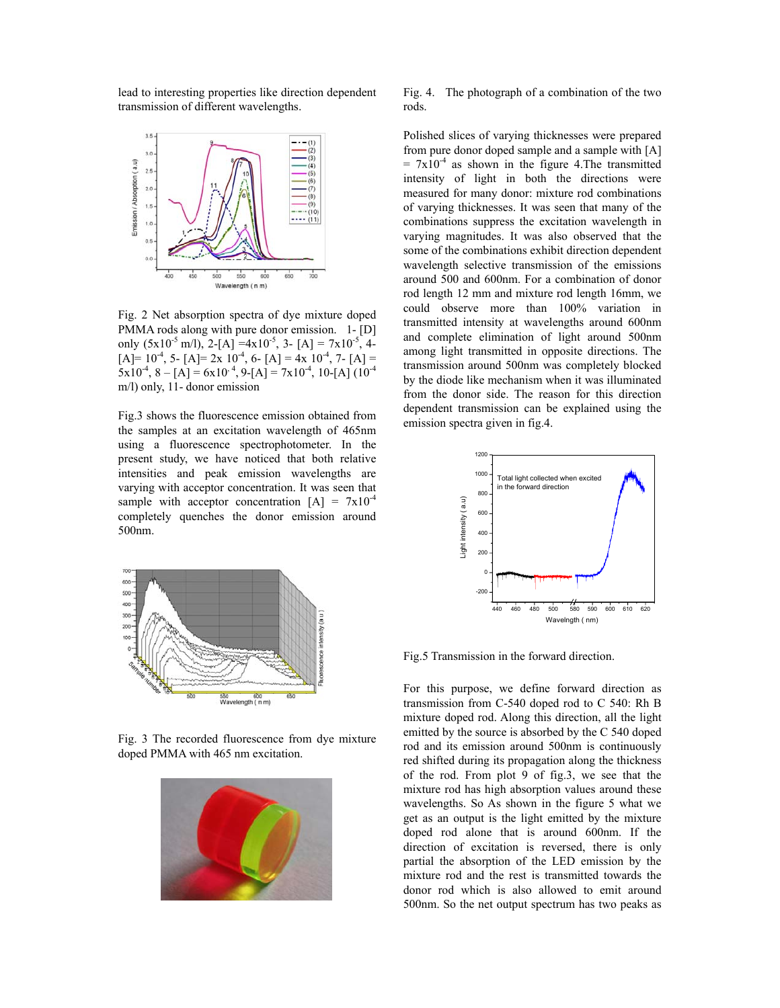lead to interesting properties like direction dependent transmission of different wavelengths.



Fig. 2 Net absorption spectra of dye mixture doped PMMA rods along with pure donor emission. 1- [D] only  $(5x10^{-5} \text{ m/l})$ , 2-[A] =4x10<sup>-5</sup>, 3- [A] = 7x10<sup>-5</sup>, 4- $[A] = 10^{-4}$ , 5-  $[A] = 2x \ 10^{-4}$ , 6-  $[A] = 4x \ 10^{-4}$ , 7-  $[A] =$  $5x10^{-4}$ ,  $8 - [A] = 6x10^{-4}$ ,  $9 - [A] = 7x10^{-4}$ ,  $10 - [A] (10^{-4}$ m/l) only, 11- donor emission

Fig.3 shows the fluorescence emission obtained from the samples at an excitation wavelength of 465nm using a fluorescence spectrophotometer. In the present study, we have noticed that both relative intensities and peak emission wavelengths are varying with acceptor concentration. It was seen that sample with acceptor concentration  $[A] = 7x10^{-4}$ completely quenches the donor emission around 500nm.



Fig. 3 The recorded fluorescence from dye mixture doped PMMA with 465 nm excitation.



Fig. 4. The photograph of a combination of the two rods.

Polished slices of varying thicknesses were prepared from pure donor doped sample and a sample with [A]  $= 7x10^{-4}$  as shown in the figure 4. The transmitted intensity of light in both the directions were measured for many donor: mixture rod combinations of varying thicknesses. It was seen that many of the combinations suppress the excitation wavelength in varying magnitudes. It was also observed that the some of the combinations exhibit direction dependent wavelength selective transmission of the emissions around 500 and 600nm. For a combination of donor rod length 12 mm and mixture rod length 16mm, we could observe more than 100% variation in transmitted intensity at wavelengths around 600nm and complete elimination of light around 500nm among light transmitted in opposite directions. The transmission around 500nm was completely blocked by the diode like mechanism when it was illuminated from the donor side. The reason for this direction dependent transmission can be explained using the emission spectra given in fig.4.



Fig.5 Transmission in the forward direction.

For this purpose, we define forward direction as transmission from C-540 doped rod to C 540: Rh B mixture doped rod. Along this direction, all the light emitted by the source is absorbed by the C 540 doped rod and its emission around 500nm is continuously red shifted during its propagation along the thickness of the rod. From plot 9 of fig.3, we see that the mixture rod has high absorption values around these wavelengths. So As shown in the figure 5 what we get as an output is the light emitted by the mixture doped rod alone that is around 600nm. If the direction of excitation is reversed, there is only partial the absorption of the LED emission by the mixture rod and the rest is transmitted towards the donor rod which is also allowed to emit around 500nm. So the net output spectrum has two peaks as